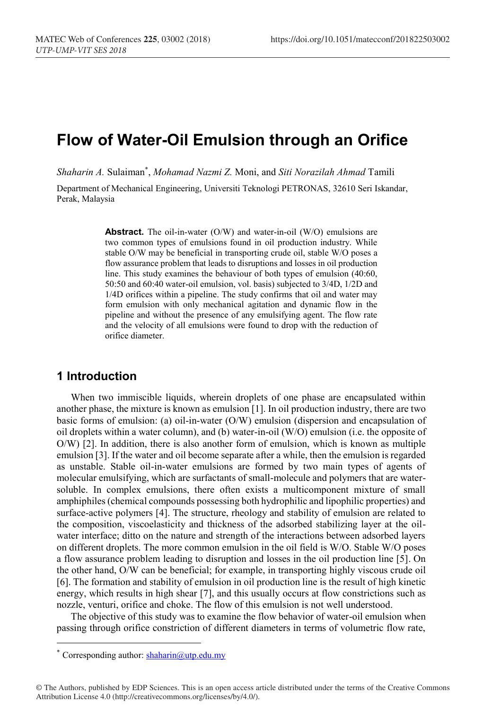# **Flow of Water-Oil Emulsion through an Orifice**

*Shaharin A.* Sulaiman\* , *Mohamad Nazmi Z.* Moni, and *Siti Norazilah Ahmad* Tamili

Department of Mechanical Engineering, Universiti Teknologi PETRONAS, 32610 Seri Iskandar, Perak, Malaysia

> **Abstract.** The oil-in-water (O/W) and water-in-oil (W/O) emulsions are two common types of emulsions found in oil production industry. While stable O/W may be beneficial in transporting crude oil, stable W/O poses a flow assurance problem that leads to disruptions and losses in oil production line. This study examines the behaviour of both types of emulsion (40:60, 50:50 and 60:40 water-oil emulsion, vol. basis) subjected to 3/4D, 1/2D and 1/4D orifices within a pipeline. The study confirms that oil and water may form emulsion with only mechanical agitation and dynamic flow in the pipeline and without the presence of any emulsifying agent. The flow rate and the velocity of all emulsions were found to drop with the reduction of orifice diameter.

### **1 Introduction**

When two immiscible liquids, wherein droplets of one phase are encapsulated within another phase, the mixture is known as emulsion [1]. In oil production industry, there are two basic forms of emulsion: (a) oil-in-water (O/W) emulsion (dispersion and encapsulation of oil droplets within a water column), and (b) water-in-oil (W/O) emulsion (i.e. the opposite of O/W) [2]. In addition, there is also another form of emulsion, which is known as multiple emulsion [3]. If the water and oil become separate after a while, then the emulsion is regarded as unstable. Stable oil-in-water emulsions are formed by two main types of agents of molecular emulsifying, which are surfactants of small-molecule and polymers that are watersoluble. In complex emulsions, there often exists a multicomponent mixture of small amphiphiles (chemical compounds possessing both hydrophilic and lipophilic properties) and surface-active polymers [4]. The structure, rheology and stability of emulsion are related to the composition, viscoelasticity and thickness of the adsorbed stabilizing layer at the oilwater interface; ditto on the nature and strength of the interactions between adsorbed layers on different droplets. The more common emulsion in the oil field is W/O. Stable W/O poses a flow assurance problem leading to disruption and losses in the oil production line [5]. On the other hand, O/W can be beneficial; for example, in transporting highly viscous crude oil [6]. The formation and stability of emulsion in oil production line is the result of high kinetic energy, which results in high shear [7], and this usually occurs at flow constrictions such as nozzle, venturi, orifice and choke. The flow of this emulsion is not well understood.

The objective of this study was to examine the flow behavior of water-oil emulsion when passing through orifice constriction of different diameters in terms of volumetric flow rate,

<sup>\*</sup> Corresponding author:  $shaharin@$ utp.edu.my

<sup>©</sup> The Authors, published by EDP Sciences. This is an open access article distributed under the terms of the Creative Commons Attribution License 4.0 (http://creativecommons.org/licenses/by/4.0/).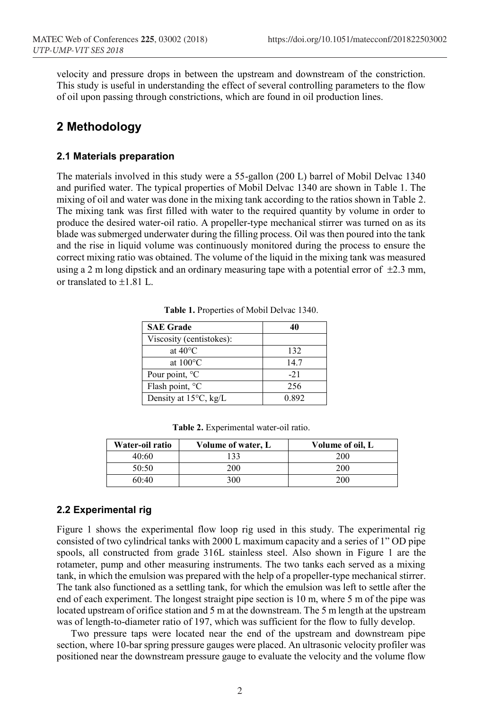velocity and pressure drops in between the upstream and downstream of the constriction. This study is useful in understanding the effect of several controlling parameters to the flow of oil upon passing through constrictions, which are found in oil production lines.

## **2 Methodology**

#### **2.1 Materials preparation**

The materials involved in this study were a 55-gallon (200 L) barrel of Mobil Delvac 1340 and purified water. The typical properties of Mobil Delvac 1340 are shown in Table 1. The mixing of oil and water was done in the mixing tank according to the ratios shown in Table 2. The mixing tank was first filled with water to the required quantity by volume in order to produce the desired water-oil ratio. A propeller-type mechanical stirrer was turned on as its blade was submerged underwater during the filling process. Oil was then poured into the tank and the rise in liquid volume was continuously monitored during the process to ensure the correct mixing ratio was obtained. The volume of the liquid in the mixing tank was measured using a 2 m long dipstick and an ordinary measuring tape with a potential error of  $\pm$ 2.3 mm, or translated to  $\pm 1.81$  L.

| <b>SAE Grade</b>                | 40     |
|---------------------------------|--------|
| Viscosity (centistokes):        |        |
| at $40^{\circ}$ C               | 132    |
| at $100^{\circ}$ C              | 14.7   |
| Pour point, $^{\circ}C$         | $-2.1$ |
| Flash point, $^{\circ}C$        | 256    |
| Density at $15^{\circ}$ C, kg/L | 0.892  |

**Table 1.** Properties of Mobil Delvac 1340.

|  |  | <b>Table 2.</b> Experimental water-oil ratio. |  |  |
|--|--|-----------------------------------------------|--|--|
|--|--|-----------------------------------------------|--|--|

| Water-oil ratio | Volume of water, L | Volume of oil, L |
|-----------------|--------------------|------------------|
| 40:60           | 133                | 200              |
| 50:50           | 200                | 200              |
| 60:40           | 300                | 200              |

#### **2.2 Experimental rig**

Figure 1 shows the experimental flow loop rig used in this study. The experimental rig consisted of two cylindrical tanks with 2000 L maximum capacity and a series of 1" OD pipe spools, all constructed from grade 316L stainless steel. Also shown in Figure 1 are the rotameter, pump and other measuring instruments. The two tanks each served as a mixing tank, in which the emulsion was prepared with the help of a propeller-type mechanical stirrer. The tank also functioned as a settling tank, for which the emulsion was left to settle after the end of each experiment. The longest straight pipe section is 10 m, where 5 m of the pipe was located upstream of orifice station and 5 m at the downstream. The 5 m length at the upstream was of length-to-diameter ratio of 197, which was sufficient for the flow to fully develop.

Two pressure taps were located near the end of the upstream and downstream pipe section, where 10-bar spring pressure gauges were placed. An ultrasonic velocity profiler was positioned near the downstream pressure gauge to evaluate the velocity and the volume flow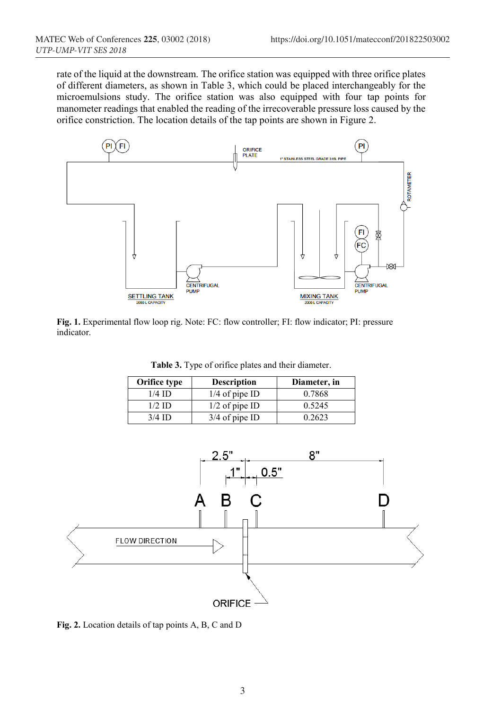rate of the liquid at the downstream. The orifice station was equipped with three orifice plates of different diameters, as shown in Table 3, which could be placed interchangeably for the microemulsions study. The orifice station was also equipped with four tap points for manometer readings that enabled the reading of the irrecoverable pressure loss caused by the orifice constriction. The location details of the tap points are shown in Figure 2.



**Fig. 1.** Experimental flow loop rig. Note: FC: flow controller; FI: flow indicator; PI: pressure indicator.

**Table 3.** Type of orifice plates and their diameter.

| Orifice type | <b>Description</b> | Diameter, in |
|--------------|--------------------|--------------|
| $1/4$ ID     | $1/4$ of pipe ID   | 0.7868       |
| $1/2$ ID     | $1/2$ of pipe ID   | 0.5245       |
| $3/4$ ID     | $3/4$ of pipe ID   | 0.2623       |



**Fig. 2.** Location details of tap points A, B, C and D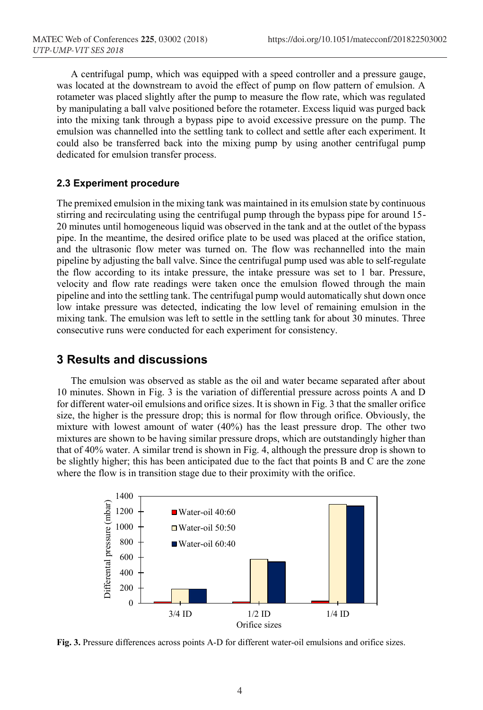A centrifugal pump, which was equipped with a speed controller and a pressure gauge, was located at the downstream to avoid the effect of pump on flow pattern of emulsion. A rotameter was placed slightly after the pump to measure the flow rate, which was regulated by manipulating a ball valve positioned before the rotameter. Excess liquid was purged back into the mixing tank through a bypass pipe to avoid excessive pressure on the pump. The emulsion was channelled into the settling tank to collect and settle after each experiment. It could also be transferred back into the mixing pump by using another centrifugal pump dedicated for emulsion transfer process.

#### **2.3 Experiment procedure**

The premixed emulsion in the mixing tank was maintained in its emulsion state by continuous stirring and recirculating using the centrifugal pump through the bypass pipe for around 15- 20 minutes until homogeneous liquid was observed in the tank and at the outlet of the bypass pipe. In the meantime, the desired orifice plate to be used was placed at the orifice station, and the ultrasonic flow meter was turned on. The flow was rechannelled into the main pipeline by adjusting the ball valve. Since the centrifugal pump used was able to self-regulate the flow according to its intake pressure, the intake pressure was set to 1 bar. Pressure, velocity and flow rate readings were taken once the emulsion flowed through the main pipeline and into the settling tank. The centrifugal pump would automatically shut down once low intake pressure was detected, indicating the low level of remaining emulsion in the mixing tank. The emulsion was left to settle in the settling tank for about 30 minutes. Three consecutive runs were conducted for each experiment for consistency.

### **3 Results and discussions**

The emulsion was observed as stable as the oil and water became separated after about 10 minutes. Shown in Fig. 3 is the variation of differential pressure across points A and D for different water-oil emulsions and orifice sizes. It is shown in Fig. 3 that the smaller orifice size, the higher is the pressure drop; this is normal for flow through orifice. Obviously, the mixture with lowest amount of water (40%) has the least pressure drop. The other two mixtures are shown to be having similar pressure drops, which are outstandingly higher than that of 40% water. A similar trend is shown in Fig. 4, although the pressure drop is shown to be slightly higher; this has been anticipated due to the fact that points B and C are the zone where the flow is in transition stage due to their proximity with the orifice.



**Fig. 3.** Pressure differences across points A-D for different water-oil emulsions and orifice sizes.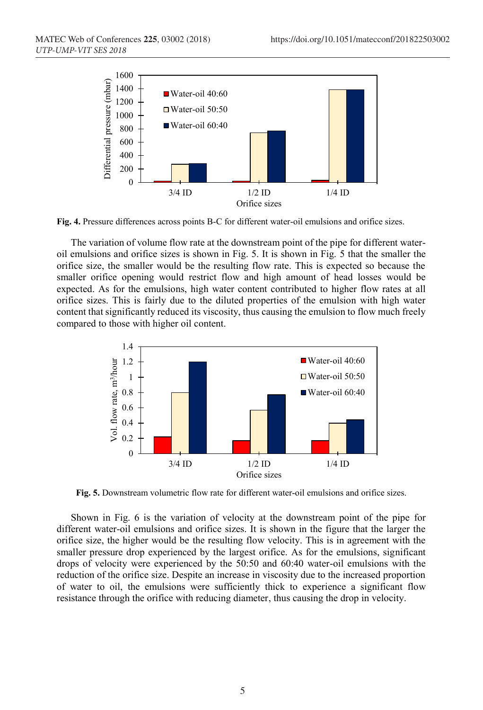

**Fig. 4.** Pressure differences across points B-C for different water-oil emulsions and orifice sizes.

The variation of volume flow rate at the downstream point of the pipe for different wateroil emulsions and orifice sizes is shown in Fig. 5. It is shown in Fig. 5 that the smaller the orifice size, the smaller would be the resulting flow rate. This is expected so because the smaller orifice opening would restrict flow and high amount of head losses would be expected. As for the emulsions, high water content contributed to higher flow rates at all orifice sizes. This is fairly due to the diluted properties of the emulsion with high water content that significantly reduced its viscosity, thus causing the emulsion to flow much freely compared to those with higher oil content.



**Fig. 5.** Downstream volumetric flow rate for different water-oil emulsions and orifice sizes.

Shown in Fig. 6 is the variation of velocity at the downstream point of the pipe for different water-oil emulsions and orifice sizes. It is shown in the figure that the larger the orifice size, the higher would be the resulting flow velocity. This is in agreement with the smaller pressure drop experienced by the largest orifice. As for the emulsions, significant drops of velocity were experienced by the 50:50 and 60:40 water-oil emulsions with the reduction of the orifice size. Despite an increase in viscosity due to the increased proportion of water to oil, the emulsions were sufficiently thick to experience a significant flow resistance through the orifice with reducing diameter, thus causing the drop in velocity.